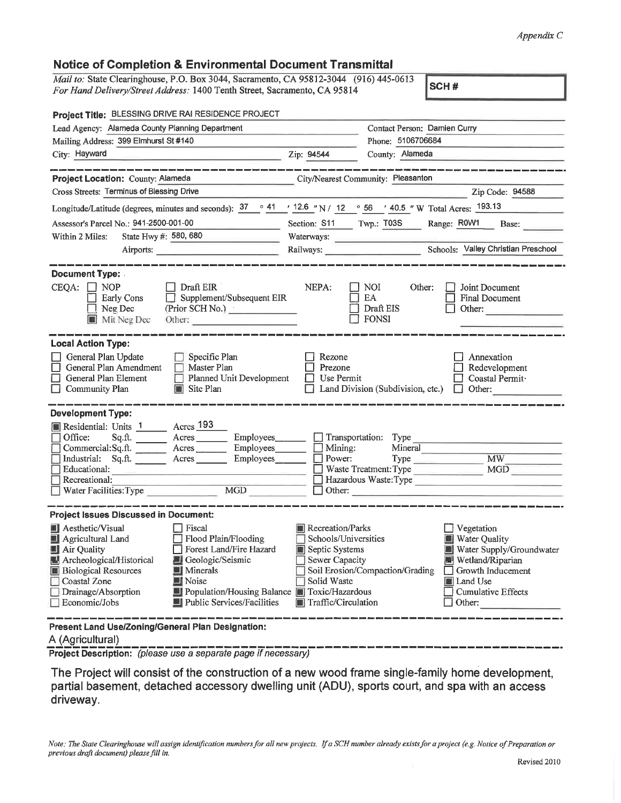## *Appendix C*

## **Notice of Completion & Environmental Document Transmittal**

| Notice of Completion & Environmental Document Transmittal                                                                                                                                                                                                                                                                                                                           |                                                                                                                                                       |                                                                                                                                                            |  |
|-------------------------------------------------------------------------------------------------------------------------------------------------------------------------------------------------------------------------------------------------------------------------------------------------------------------------------------------------------------------------------------|-------------------------------------------------------------------------------------------------------------------------------------------------------|------------------------------------------------------------------------------------------------------------------------------------------------------------|--|
| Mail to: State Clearinghouse, P.O. Box 3044, Sacramento, CA 95812-3044 (916) 445-0613<br>For Hand Delivery/Street Address: 1400 Tenth Street, Sacramento, CA 95814                                                                                                                                                                                                                  |                                                                                                                                                       | SCH#                                                                                                                                                       |  |
| Project Title: BLESSING DRIVE RAI RESIDENCE PROJECT                                                                                                                                                                                                                                                                                                                                 |                                                                                                                                                       |                                                                                                                                                            |  |
| Lead Agency: Alameda County Planning Department                                                                                                                                                                                                                                                                                                                                     | Contact Person: Damien Curry                                                                                                                          |                                                                                                                                                            |  |
| Mailing Address: 399 Elmhurst St #140                                                                                                                                                                                                                                                                                                                                               | Phone: 5106706684                                                                                                                                     |                                                                                                                                                            |  |
| City: Hayward<br>the contract of the contract of the contract of                                                                                                                                                                                                                                                                                                                    | County: Alameda<br>Zip: 94544                                                                                                                         |                                                                                                                                                            |  |
| Project Location: County: Alameda                                                                                                                                                                                                                                                                                                                                                   | City/Nearest Community: Pleasanton                                                                                                                    |                                                                                                                                                            |  |
| Cross Streets: Terminus of Blessing Drive                                                                                                                                                                                                                                                                                                                                           |                                                                                                                                                       | Zip Code: 94588                                                                                                                                            |  |
| Longitude/Latitude (degrees, minutes and seconds): $\frac{37}{126}$ $\frac{41}{126}$ $\frac{12.6}{126}$ $\frac{1}{12}$ $\frac{12.6}{12}$ $\frac{12.6}{12}$ $\frac{12.6}{12}$ $\frac{12.6}{12}$ $\frac{12.6}{12}$ $\frac{12.6}{12}$ $\frac{12.6}{12}$ $\frac{12.6}{12}$ $\frac{12.$                                                                                                  |                                                                                                                                                       |                                                                                                                                                            |  |
| Assessor's Parcel No.: 941-2500-001-00                                                                                                                                                                                                                                                                                                                                              | Section: S11 Twp.: T03S Range: R0W1 Base:                                                                                                             |                                                                                                                                                            |  |
| State Hwy #: $580, 680$<br>Within 2 Miles:                                                                                                                                                                                                                                                                                                                                          | Waterways:                                                                                                                                            |                                                                                                                                                            |  |
|                                                                                                                                                                                                                                                                                                                                                                                     | Railways: Schools: Valley Christian Preschool                                                                                                         |                                                                                                                                                            |  |
| <b>Document Type:</b>                                                                                                                                                                                                                                                                                                                                                               |                                                                                                                                                       |                                                                                                                                                            |  |
| $CEQA: \Box NOP$<br>$\Box$ Draft EIR<br>$\Box$ Supplement/Subsequent EIR<br>Early Cons<br>$\Box$ Neg Dec<br>(Prior SCH No.) <u>New York Charles Communication</u><br>Mit Neg Dec<br>Other:                                                                                                                                                                                          | NEPA:<br>$\Box$ NOI<br>Other:<br>EA<br>Draft EIS<br>FONSI                                                                                             | Joint Document<br><b>Final Document</b><br>Other:                                                                                                          |  |
| <b>Local Action Type:</b>                                                                                                                                                                                                                                                                                                                                                           |                                                                                                                                                       |                                                                                                                                                            |  |
| General Plan Update<br>$\Box$ Specific Plan<br>□<br>General Plan Amendment<br>$\Box$ Master Plan<br>General Plan Element<br>Planned Unit Development<br>$\Box$ Community Plan<br>Site Plan                                                                                                                                                                                          | Rezone<br>Prezone<br>Use Permit<br>Land Division (Subdivision, etc.)                                                                                  | Annexation<br>Redevelopment<br>Coastal Permit ·<br>$\Box$ Other:                                                                                           |  |
| <b>Development Type:</b>                                                                                                                                                                                                                                                                                                                                                            |                                                                                                                                                       |                                                                                                                                                            |  |
| Residential: Units 1 Acres 193<br>$\Box$ Office:<br>Sq.ft. _________ Acres __________ Employees_______<br>Commercial:Sq.ft.<br>Acres Employees<br>Industrial: Sq.ft. _______ Acres _______<br>Employees_______<br>Educational:<br>Recreational:<br>Water Facilities: Type MGD                                                                                                       | Transportation: Type<br>$\Box$ Mining:<br>Mineral<br>$\Box$ Power:<br>$\Box$ Other:                                                                   | Waste Treatment: Type MGD<br>Hazardous Waste: Type                                                                                                         |  |
| <b>Project Issues Discussed in Document:</b>                                                                                                                                                                                                                                                                                                                                        |                                                                                                                                                       |                                                                                                                                                            |  |
| Aesthetic/Visual<br>Fiscal<br>Agricultural Land<br>Flood Plain/Flooding<br>Air Quality<br>Forest Land/Fire Hazard<br>Archeological/Historical<br>Geologic/Seismic<br><b>Biological Resources</b><br><b>Minerals</b><br><b>Noise</b><br>Coastal Zone<br>Drainage/Absorption<br>Population/Housing Balance <b>Tell</b> Toxic/Hazardous<br>Public Services/Facilities<br>Economic/Jobs | Recreation/Parks<br>Schools/Universities<br>Septic Systems<br>Sewer Capacity<br>Soil Erosion/Compaction/Grading<br>Solid Waste<br>Traffic/Circulation | Vegetation<br>Water Quality<br>Water Supply/Groundwater<br>Wetland/Riparian<br>Growth Inducement<br><b>Land Use</b><br><b>Cumulative Effects</b><br>Other: |  |

**Present Land Use/Zoning/General Plan Designation:**

## A (Agricultural)

**Project Description:** *(please use a separate page if necessary)*

The Project will consist of the construction of a new wood frame single-family home development, partial basement, detached accessory dwelling unit (ADU), sports court, and spa with an access driveway.

Note: The State Clearinghouse will assign identification numbers for all new projects. If a SCH number already exists for a project (e.g. Notice of Preparation or *previous draft document) please fill in.*